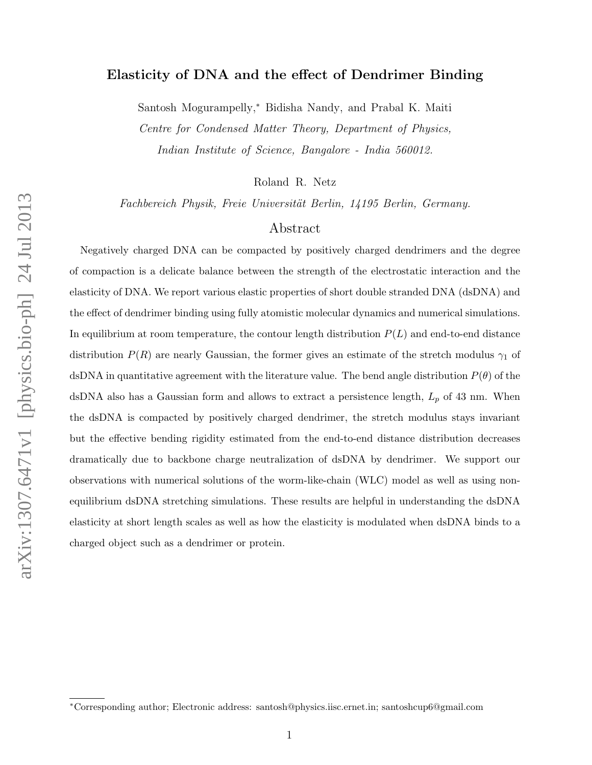# Elasticity of DNA and the effect of Dendrimer Binding

Santosh Mogurampelly,<sup>∗</sup> Bidisha Nandy, and Prabal K. Maiti Centre for Condensed Matter Theory, Department of Physics,

Indian Institute of Science, Bangalore - India 560012.

Roland R. Netz

Fachbereich Physik, Freie Universität Berlin, 14195 Berlin, Germany.

# Abstract

Negatively charged DNA can be compacted by positively charged dendrimers and the degree of compaction is a delicate balance between the strength of the electrostatic interaction and the elasticity of DNA. We report various elastic properties of short double stranded DNA (dsDNA) and the effect of dendrimer binding using fully atomistic molecular dynamics and numerical simulations. In equilibrium at room temperature, the contour length distribution  $P(L)$  and end-to-end distance distribution  $P(R)$  are nearly Gaussian, the former gives an estimate of the stretch modulus  $\gamma_1$  of dsDNA in quantitative agreement with the literature value. The bend angle distribution  $P(\theta)$  of the dsDNA also has a Gaussian form and allows to extract a persistence length,  $L_p$  of 43 nm. When the dsDNA is compacted by positively charged dendrimer, the stretch modulus stays invariant but the effective bending rigidity estimated from the end-to-end distance distribution decreases dramatically due to backbone charge neutralization of dsDNA by dendrimer. We support our observations with numerical solutions of the worm-like-chain (WLC) model as well as using nonequilibrium dsDNA stretching simulations. These results are helpful in understanding the dsDNA elasticity at short length scales as well as how the elasticity is modulated when dsDNA binds to a charged object such as a dendrimer or protein.

<sup>∗</sup>Corresponding author; Electronic address: santosh@physics.iisc.ernet.in; santoshcup6@gmail.com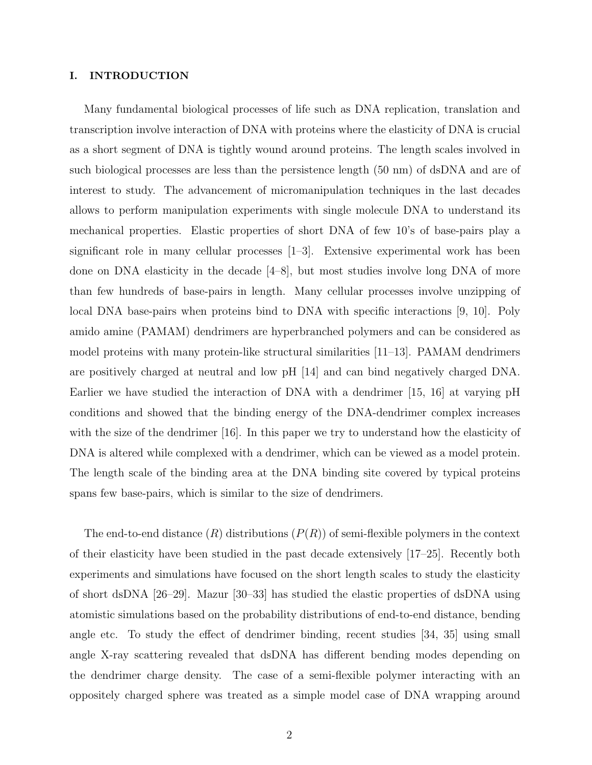# I. INTRODUCTION

Many fundamental biological processes of life such as DNA replication, translation and transcription involve interaction of DNA with proteins where the elasticity of DNA is crucial as a short segment of DNA is tightly wound around proteins. The length scales involved in such biological processes are less than the persistence length (50 nm) of dsDNA and are of interest to study. The advancement of micromanipulation techniques in the last decades allows to perform manipulation experiments with single molecule DNA to understand its mechanical properties. Elastic properties of short DNA of few 10's of base-pairs play a significant role in many cellular processes [1–3]. Extensive experimental work has been done on DNA elasticity in the decade [4–8], but most studies involve long DNA of more than few hundreds of base-pairs in length. Many cellular processes involve unzipping of local DNA base-pairs when proteins bind to DNA with specific interactions [9, 10]. Poly amido amine (PAMAM) dendrimers are hyperbranched polymers and can be considered as model proteins with many protein-like structural similarities [11–13]. PAMAM dendrimers are positively charged at neutral and low pH [14] and can bind negatively charged DNA. Earlier we have studied the interaction of DNA with a dendrimer [15, 16] at varying pH conditions and showed that the binding energy of the DNA-dendrimer complex increases with the size of the dendrimer [16]. In this paper we try to understand how the elasticity of DNA is altered while complexed with a dendrimer, which can be viewed as a model protein. The length scale of the binding area at the DNA binding site covered by typical proteins spans few base-pairs, which is similar to the size of dendrimers.

The end-to-end distance  $(R)$  distributions  $(P(R))$  of semi-flexible polymers in the context of their elasticity have been studied in the past decade extensively [17–25]. Recently both experiments and simulations have focused on the short length scales to study the elasticity of short dsDNA [26–29]. Mazur [30–33] has studied the elastic properties of dsDNA using atomistic simulations based on the probability distributions of end-to-end distance, bending angle etc. To study the effect of dendrimer binding, recent studies [34, 35] using small angle X-ray scattering revealed that dsDNA has different bending modes depending on the dendrimer charge density. The case of a semi-flexible polymer interacting with an oppositely charged sphere was treated as a simple model case of DNA wrapping around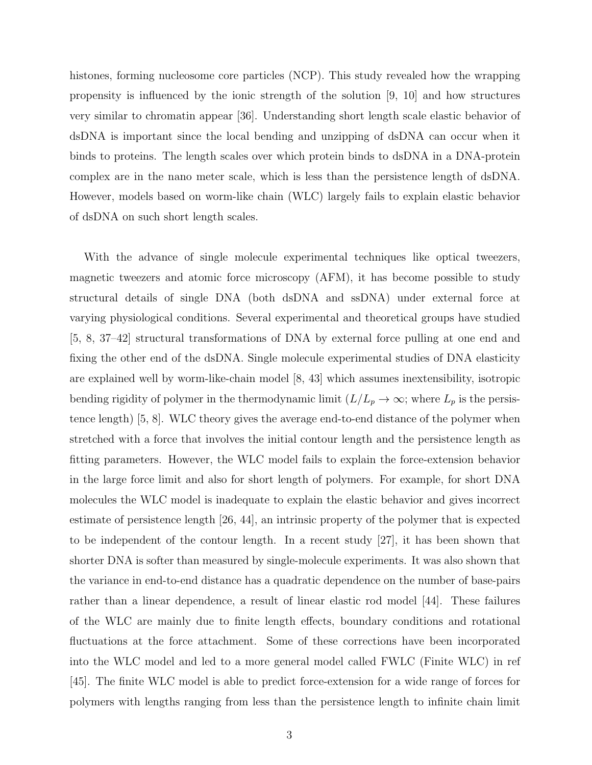histones, forming nucleosome core particles (NCP). This study revealed how the wrapping propensity is influenced by the ionic strength of the solution [9, 10] and how structures very similar to chromatin appear [36]. Understanding short length scale elastic behavior of dsDNA is important since the local bending and unzipping of dsDNA can occur when it binds to proteins. The length scales over which protein binds to dsDNA in a DNA-protein complex are in the nano meter scale, which is less than the persistence length of dsDNA. However, models based on worm-like chain (WLC) largely fails to explain elastic behavior of dsDNA on such short length scales.

With the advance of single molecule experimental techniques like optical tweezers, magnetic tweezers and atomic force microscopy (AFM), it has become possible to study structural details of single DNA (both dsDNA and ssDNA) under external force at varying physiological conditions. Several experimental and theoretical groups have studied [5, 8, 37–42] structural transformations of DNA by external force pulling at one end and fixing the other end of the dsDNA. Single molecule experimental studies of DNA elasticity are explained well by worm-like-chain model [8, 43] which assumes inextensibility, isotropic bending rigidity of polymer in the thermodynamic limit  $(L/L_p \to \infty;$  where  $L_p$  is the persistence length) [5, 8]. WLC theory gives the average end-to-end distance of the polymer when stretched with a force that involves the initial contour length and the persistence length as fitting parameters. However, the WLC model fails to explain the force-extension behavior in the large force limit and also for short length of polymers. For example, for short DNA molecules the WLC model is inadequate to explain the elastic behavior and gives incorrect estimate of persistence length [26, 44], an intrinsic property of the polymer that is expected to be independent of the contour length. In a recent study [27], it has been shown that shorter DNA is softer than measured by single-molecule experiments. It was also shown that the variance in end-to-end distance has a quadratic dependence on the number of base-pairs rather than a linear dependence, a result of linear elastic rod model [44]. These failures of the WLC are mainly due to finite length effects, boundary conditions and rotational fluctuations at the force attachment. Some of these corrections have been incorporated into the WLC model and led to a more general model called FWLC (Finite WLC) in ref [45]. The finite WLC model is able to predict force-extension for a wide range of forces for polymers with lengths ranging from less than the persistence length to infinite chain limit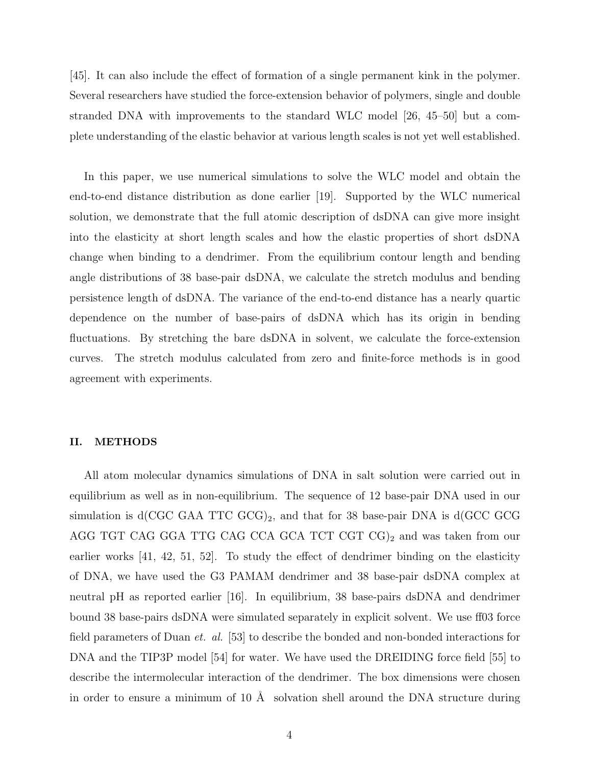[45]. It can also include the effect of formation of a single permanent kink in the polymer. Several researchers have studied the force-extension behavior of polymers, single and double stranded DNA with improvements to the standard WLC model [26, 45–50] but a complete understanding of the elastic behavior at various length scales is not yet well established.

In this paper, we use numerical simulations to solve the WLC model and obtain the end-to-end distance distribution as done earlier [19]. Supported by the WLC numerical solution, we demonstrate that the full atomic description of dsDNA can give more insight into the elasticity at short length scales and how the elastic properties of short dsDNA change when binding to a dendrimer. From the equilibrium contour length and bending angle distributions of 38 base-pair dsDNA, we calculate the stretch modulus and bending persistence length of dsDNA. The variance of the end-to-end distance has a nearly quartic dependence on the number of base-pairs of dsDNA which has its origin in bending fluctuations. By stretching the bare dsDNA in solvent, we calculate the force-extension curves. The stretch modulus calculated from zero and finite-force methods is in good agreement with experiments.

# II. METHODS

All atom molecular dynamics simulations of DNA in salt solution were carried out in equilibrium as well as in non-equilibrium. The sequence of 12 base-pair DNA used in our simulation is  $d(CGC GAA TTC GCG)_2$ , and that for 38 base-pair DNA is  $d(GCC GCG)$ AGG TGT CAG GGA TTG CAG CCA GCA TCT CGT  $CG)_2$  and was taken from our earlier works [41, 42, 51, 52]. To study the effect of dendrimer binding on the elasticity of DNA, we have used the G3 PAMAM dendrimer and 38 base-pair dsDNA complex at neutral pH as reported earlier [16]. In equilibrium, 38 base-pairs dsDNA and dendrimer bound 38 base-pairs dsDNA were simulated separately in explicit solvent. We use ff03 force field parameters of Duan et. al. [53] to describe the bonded and non-bonded interactions for DNA and the TIP3P model [54] for water. We have used the DREIDING force field [55] to describe the intermolecular interaction of the dendrimer. The box dimensions were chosen in order to ensure a minimum of 10  $\AA$  solvation shell around the DNA structure during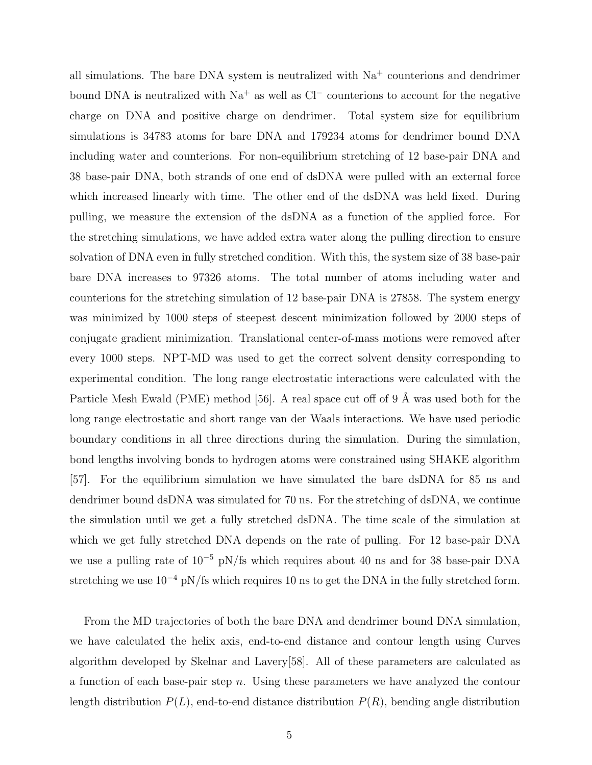all simulations. The bare DNA system is neutralized with  $Na<sup>+</sup>$  counterions and dendrimer bound DNA is neutralized with Na<sup>+</sup> as well as Cl<sup>−</sup> counterions to account for the negative charge on DNA and positive charge on dendrimer. Total system size for equilibrium simulations is 34783 atoms for bare DNA and 179234 atoms for dendrimer bound DNA including water and counterions. For non-equilibrium stretching of 12 base-pair DNA and 38 base-pair DNA, both strands of one end of dsDNA were pulled with an external force which increased linearly with time. The other end of the dsDNA was held fixed. During pulling, we measure the extension of the dsDNA as a function of the applied force. For the stretching simulations, we have added extra water along the pulling direction to ensure solvation of DNA even in fully stretched condition. With this, the system size of 38 base-pair bare DNA increases to 97326 atoms. The total number of atoms including water and counterions for the stretching simulation of 12 base-pair DNA is 27858. The system energy was minimized by 1000 steps of steepest descent minimization followed by 2000 steps of conjugate gradient minimization. Translational center-of-mass motions were removed after every 1000 steps. NPT-MD was used to get the correct solvent density corresponding to experimental condition. The long range electrostatic interactions were calculated with the Particle Mesh Ewald (PME) method [56]. A real space cut off of 9  $\AA$  was used both for the long range electrostatic and short range van der Waals interactions. We have used periodic boundary conditions in all three directions during the simulation. During the simulation, bond lengths involving bonds to hydrogen atoms were constrained using SHAKE algorithm [57]. For the equilibrium simulation we have simulated the bare dsDNA for 85 ns and dendrimer bound dsDNA was simulated for 70 ns. For the stretching of dsDNA, we continue the simulation until we get a fully stretched dsDNA. The time scale of the simulation at which we get fully stretched DNA depends on the rate of pulling. For 12 base-pair DNA we use a pulling rate of 10<sup>−</sup><sup>5</sup> pN/fs which requires about 40 ns and for 38 base-pair DNA stretching we use  $10^{-4}$  pN/fs which requires 10 ns to get the DNA in the fully stretched form.

From the MD trajectories of both the bare DNA and dendrimer bound DNA simulation, we have calculated the helix axis, end-to-end distance and contour length using Curves algorithm developed by Skelnar and Lavery[58]. All of these parameters are calculated as a function of each base-pair step  $n$ . Using these parameters we have analyzed the contour length distribution  $P(L)$ , end-to-end distance distribution  $P(R)$ , bending angle distribution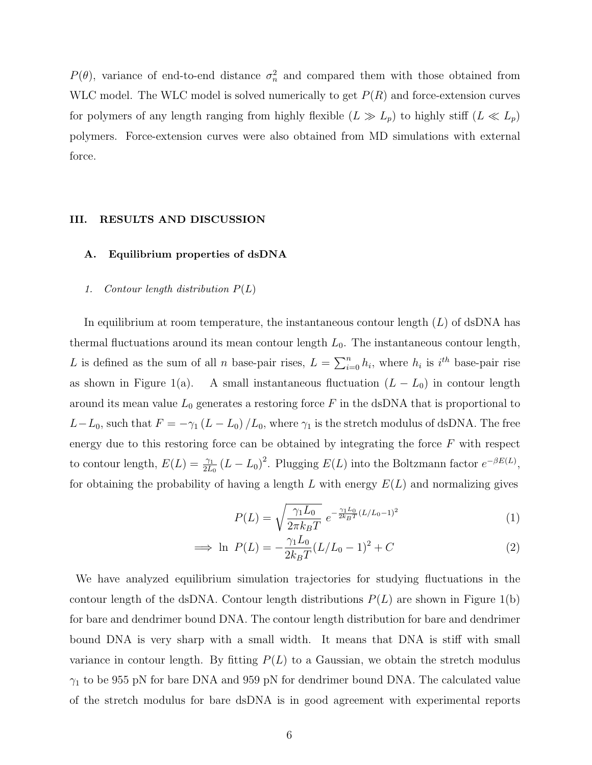$P(\theta)$ , variance of end-to-end distance  $\sigma_n^2$  and compared them with those obtained from WLC model. The WLC model is solved numerically to get  $P(R)$  and force-extension curves for polymers of any length ranging from highly flexible  $(L \gg L_p)$  to highly stiff  $(L \ll L_p)$ polymers. Force-extension curves were also obtained from MD simulations with external force.

## III. RESULTS AND DISCUSSION

# A. Equilibrium properties of dsDNA

## 1. Contour length distribution  $P(L)$

In equilibrium at room temperature, the instantaneous contour length  $(L)$  of dsDNA has thermal fluctuations around its mean contour length  $L_0$ . The instantaneous contour length, L is defined as the sum of all n base-pair rises,  $L = \sum_{i=0}^{n} h_i$ , where  $h_i$  is  $i^{th}$  base-pair rise as shown in Figure 1(a). A small instantaneous fluctuation  $(L - L_0)$  in contour length around its mean value  $L_0$  generates a restoring force F in the dsDNA that is proportional to  $L-L_0$ , such that  $F = -\gamma_1 (L - L_0) / L_0$ , where  $\gamma_1$  is the stretch modulus of dsDNA. The free energy due to this restoring force can be obtained by integrating the force  $F$  with respect to contour length,  $E(L) = \frac{\gamma_1}{2L_0} (L - L_0)^2$ . Plugging  $E(L)$  into the Boltzmann factor  $e^{-\beta E(L)}$ , for obtaining the probability of having a length L with energy  $E(L)$  and normalizing gives

$$
P(L) = \sqrt{\frac{\gamma_1 L_0}{2\pi k_B T}} e^{-\frac{\gamma_1 L_0}{2k_B T} (L/L_0 - 1)^2}
$$
 (1)

$$
\implies \ln P(L) = -\frac{\gamma_1 L_0}{2k_B T} (L/L_0 - 1)^2 + C \tag{2}
$$

We have analyzed equilibrium simulation trajectories for studying fluctuations in the contour length of the dsDNA. Contour length distributions  $P(L)$  are shown in Figure 1(b) for bare and dendrimer bound DNA. The contour length distribution for bare and dendrimer bound DNA is very sharp with a small width. It means that DNA is stiff with small variance in contour length. By fitting  $P(L)$  to a Gaussian, we obtain the stretch modulus  $\gamma_1$  to be 955 pN for bare DNA and 959 pN for dendrimer bound DNA. The calculated value of the stretch modulus for bare dsDNA is in good agreement with experimental reports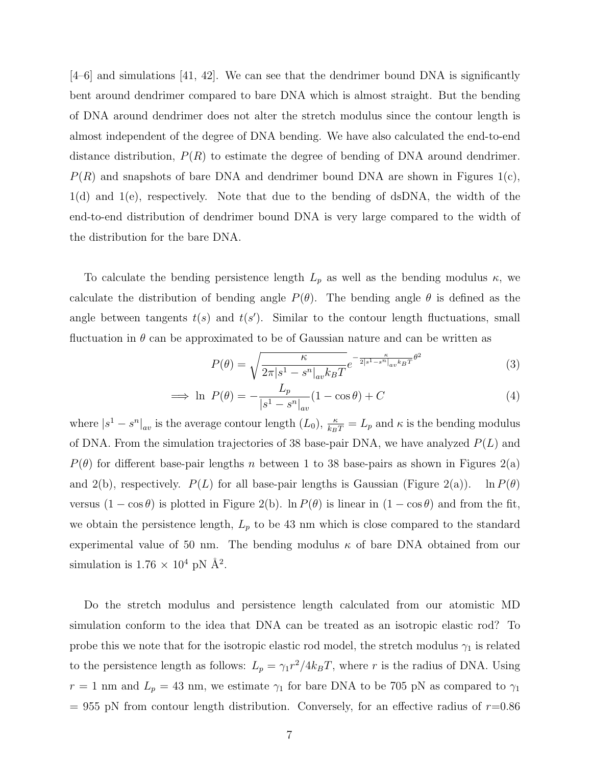[4–6] and simulations [41, 42]. We can see that the dendrimer bound DNA is significantly bent around dendrimer compared to bare DNA which is almost straight. But the bending of DNA around dendrimer does not alter the stretch modulus since the contour length is almost independent of the degree of DNA bending. We have also calculated the end-to-end distance distribution,  $P(R)$  to estimate the degree of bending of DNA around dendrimer.  $P(R)$  and snapshots of bare DNA and dendrimer bound DNA are shown in Figures 1(c), 1(d) and 1(e), respectively. Note that due to the bending of dsDNA, the width of the end-to-end distribution of dendrimer bound DNA is very large compared to the width of the distribution for the bare DNA.

To calculate the bending persistence length  $L_p$  as well as the bending modulus  $\kappa$ , we calculate the distribution of bending angle  $P(\theta)$ . The bending angle  $\theta$  is defined as the angle between tangents  $t(s)$  and  $t(s')$ . Similar to the contour length fluctuations, small fluctuation in  $\theta$  can be approximated to be of Gaussian nature and can be written as

$$
P(\theta) = \sqrt{\frac{\kappa}{2\pi|s^1 - s^n|_{av}k_BT}} e^{-\frac{\kappa}{2|s^1 - s^n|_{av}k_BT}\theta^2}
$$
(3)

$$
\implies \ln P(\theta) = -\frac{L_p}{|s^1 - s^n|_{av}} (1 - \cos \theta) + C \tag{4}
$$

where  $|s^1 - s^n|_{av}$  is the average contour length  $(L_0)$ ,  $\frac{\kappa}{k_B T} = L_p$  and  $\kappa$  is the bending modulus of DNA. From the simulation trajectories of 38 base-pair DNA, we have analyzed  $P(L)$  and  $P(\theta)$  for different base-pair lengths n between 1 to 38 base-pairs as shown in Figures 2(a) and 2(b), respectively.  $P(L)$  for all base-pair lengths is Gaussian (Figure 2(a)). ln  $P(\theta)$ versus  $(1 - \cos \theta)$  is plotted in Figure 2(b). ln  $P(\theta)$  is linear in  $(1 - \cos \theta)$  and from the fit, we obtain the persistence length,  $L_p$  to be 43 nm which is close compared to the standard experimental value of 50 nm. The bending modulus  $\kappa$  of bare DNA obtained from our simulation is  $1.76 \times 10^4$  pN  $\AA^2$ .

Do the stretch modulus and persistence length calculated from our atomistic MD simulation conform to the idea that DNA can be treated as an isotropic elastic rod? To probe this we note that for the isotropic elastic rod model, the stretch modulus  $\gamma_1$  is related to the persistence length as follows:  $L_p = \gamma_1 r^2 / 4k_B T$ , where r is the radius of DNA. Using  $r = 1$  nm and  $L_p = 43$  nm, we estimate  $\gamma_1$  for bare DNA to be 705 pN as compared to  $\gamma_1$  $= 955$  pN from contour length distribution. Conversely, for an effective radius of  $r=0.86$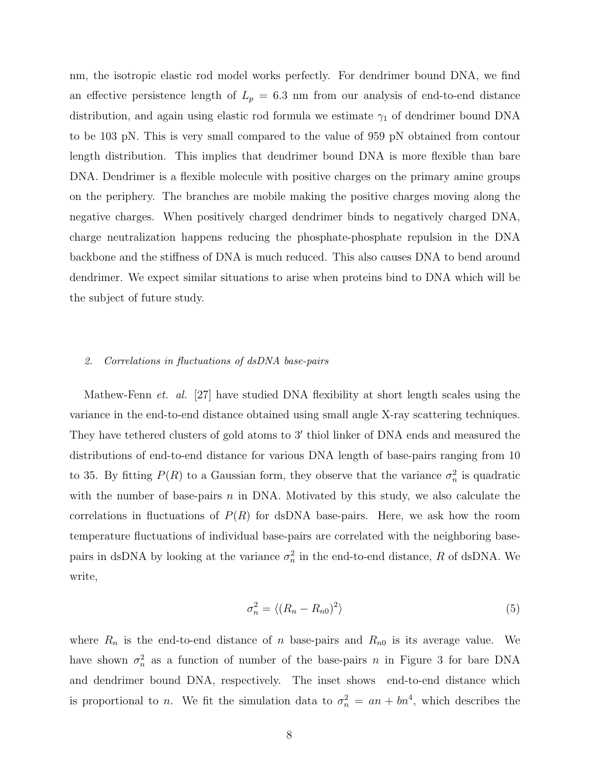nm, the isotropic elastic rod model works perfectly. For dendrimer bound DNA, we find an effective persistence length of  $L_p = 6.3$  nm from our analysis of end-to-end distance distribution, and again using elastic rod formula we estimate  $\gamma_1$  of dendrimer bound DNA to be 103 pN. This is very small compared to the value of 959 pN obtained from contour length distribution. This implies that dendrimer bound DNA is more flexible than bare DNA. Dendrimer is a flexible molecule with positive charges on the primary amine groups on the periphery. The branches are mobile making the positive charges moving along the negative charges. When positively charged dendrimer binds to negatively charged DNA, charge neutralization happens reducing the phosphate-phosphate repulsion in the DNA backbone and the stiffness of DNA is much reduced. This also causes DNA to bend around dendrimer. We expect similar situations to arise when proteins bind to DNA which will be the subject of future study.

## 2. Correlations in fluctuations of dsDNA base-pairs

Mathew-Fenn *et. al.* [27] have studied DNA flexibility at short length scales using the variance in the end-to-end distance obtained using small angle X-ray scattering techniques. They have tethered clusters of gold atoms to 3′ thiol linker of DNA ends and measured the distributions of end-to-end distance for various DNA length of base-pairs ranging from 10 to 35. By fitting  $P(R)$  to a Gaussian form, they observe that the variance  $\sigma_n^2$  is quadratic with the number of base-pairs  $n$  in DNA. Motivated by this study, we also calculate the correlations in fluctuations of  $P(R)$  for dsDNA base-pairs. Here, we ask how the room temperature fluctuations of individual base-pairs are correlated with the neighboring basepairs in dsDNA by looking at the variance  $\sigma_n^2$  in the end-to-end distance, R of dsDNA. We write,

$$
\sigma_n^2 = \langle (R_n - R_{n0})^2 \rangle \tag{5}
$$

where  $R_n$  is the end-to-end distance of n base-pairs and  $R_{n0}$  is its average value. We have shown  $\sigma_n^2$  as a function of number of the base-pairs n in Figure 3 for bare DNA and dendrimer bound DNA, respectively. The inset shows end-to-end distance which is proportional to *n*. We fit the simulation data to  $\sigma_n^2 = an + bn^4$ , which describes the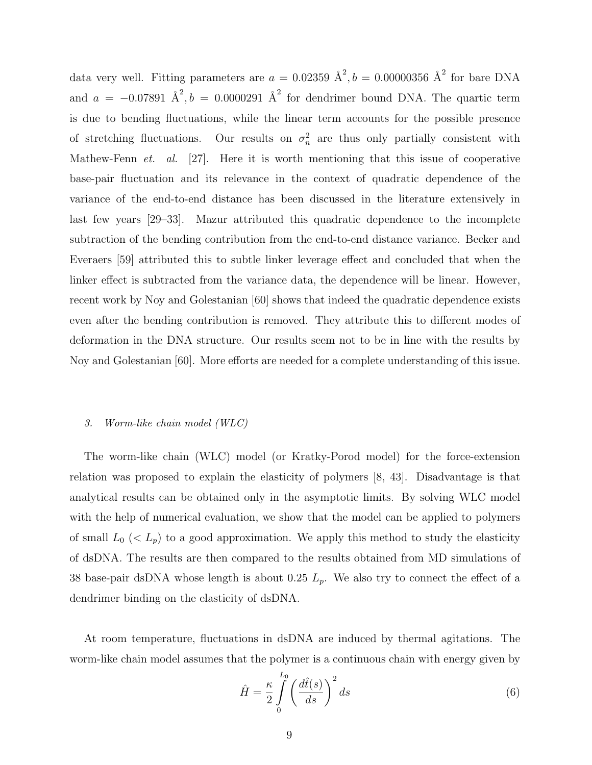data very well. Fitting parameters are  $a = 0.02359 \text{ \AA}^2, b = 0.00000356 \text{ \AA}^2$  for bare DNA and  $a = -0.07891 \text{ Å}^2, b = 0.0000291 \text{ Å}^2$  for dendrimer bound DNA. The quartic term is due to bending fluctuations, while the linear term accounts for the possible presence of stretching fluctuations. Our results on  $\sigma_n^2$  are thus only partially consistent with Mathew-Fenn et. al. [27]. Here it is worth mentioning that this issue of cooperative base-pair fluctuation and its relevance in the context of quadratic dependence of the variance of the end-to-end distance has been discussed in the literature extensively in last few years [29–33]. Mazur attributed this quadratic dependence to the incomplete subtraction of the bending contribution from the end-to-end distance variance. Becker and Everaers [59] attributed this to subtle linker leverage effect and concluded that when the linker effect is subtracted from the variance data, the dependence will be linear. However, recent work by Noy and Golestanian [60] shows that indeed the quadratic dependence exists even after the bending contribution is removed. They attribute this to different modes of deformation in the DNA structure. Our results seem not to be in line with the results by Noy and Golestanian [60]. More efforts are needed for a complete understanding of this issue.

#### 3. Worm-like chain model (WLC)

The worm-like chain (WLC) model (or Kratky-Porod model) for the force-extension relation was proposed to explain the elasticity of polymers [8, 43]. Disadvantage is that analytical results can be obtained only in the asymptotic limits. By solving WLC model with the help of numerical evaluation, we show that the model can be applied to polymers of small  $L_0 \ll L_p$ ) to a good approximation. We apply this method to study the elasticity of dsDNA. The results are then compared to the results obtained from MD simulations of 38 base-pair dsDNA whose length is about 0.25  $L_p$ . We also try to connect the effect of a dendrimer binding on the elasticity of dsDNA.

At room temperature, fluctuations in dsDNA are induced by thermal agitations. The worm-like chain model assumes that the polymer is a continuous chain with energy given by

$$
\hat{H} = \frac{\kappa}{2} \int_{0}^{L_0} \left(\frac{d\hat{t}(s)}{ds}\right)^2 ds
$$
\n(6)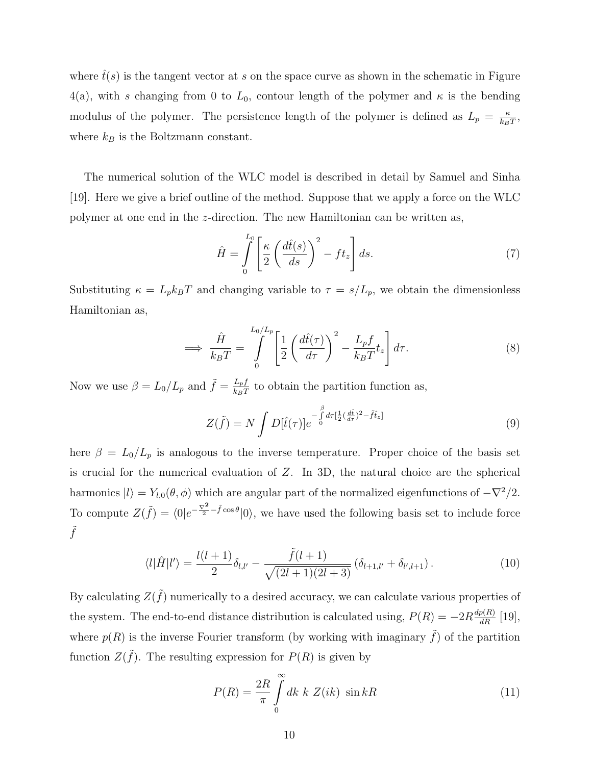where  $\hat{t}(s)$  is the tangent vector at s on the space curve as shown in the schematic in Figure 4(a), with s changing from 0 to  $L_0$ , contour length of the polymer and  $\kappa$  is the bending modulus of the polymer. The persistence length of the polymer is defined as  $L_p = \frac{\kappa}{k_p}$  $\frac{\kappa}{k_BT},$ where  $k_B$  is the Boltzmann constant.

The numerical solution of the WLC model is described in detail by Samuel and Sinha [19]. Here we give a brief outline of the method. Suppose that we apply a force on the WLC polymer at one end in the z-direction. The new Hamiltonian can be written as,

$$
\hat{H} = \int_{0}^{L_0} \left[ \frac{\kappa}{2} \left( \frac{d\hat{t}(s)}{ds} \right)^2 - ft_z \right] ds.
$$
\n(7)

Substituting  $\kappa = L_p k_B T$  and changing variable to  $\tau = s/L_p$ , we obtain the dimensionless Hamiltonian as,

$$
\implies \frac{\hat{H}}{k_B T} = \int_{0}^{L_0/L_p} \left[ \frac{1}{2} \left( \frac{d\hat{t}(\tau)}{d\tau} \right)^2 - \frac{L_p f}{k_B T} t_z \right] d\tau. \tag{8}
$$

Now we use  $\beta = L_0/L_p$  and  $\tilde{f} = \frac{L_p f}{k_p T}$  $\frac{L_{pJ}}{k_{B}T}$  to obtain the partition function as,

$$
Z(\tilde{f}) = N \int D[\hat{t}(\tau)] e^{-\int_0^{\beta} d\tau \left[\frac{1}{2}(\frac{d\hat{t}}{d\tau})^2 - \tilde{f}\hat{t}_z\right]}
$$
(9)

here  $\beta = L_0/L_p$  is analogous to the inverse temperature. Proper choice of the basis set is crucial for the numerical evaluation of Z. In 3D, the natural choice are the spherical harmonics  $|l\rangle = Y_{l,0}(\theta, \phi)$  which are angular part of the normalized eigenfunctions of  $-\nabla^2/2$ . To compute  $Z(\tilde{f}) = \langle 0|e^{-\frac{\nabla^2}{2} - \tilde{f} \cos \theta} |0\rangle$ , we have used the following basis set to include force  $\tilde{f}$ 

$$
\langle l|\hat{H}|l'\rangle = \frac{l(l+1)}{2}\delta_{l,l'} - \frac{\tilde{f}(l+1)}{\sqrt{(2l+1)(2l+3)}}\left(\delta_{l+1,l'} + \delta_{l',l+1}\right). \tag{10}
$$

By calculating  $Z(\tilde{f})$  numerically to a desired accuracy, we can calculate various properties of the system. The end-to-end distance distribution is calculated using,  $P(R) = -2R\frac{dp(R)}{dR}$  [19], where  $p(R)$  is the inverse Fourier transform (by working with imaginary  $\tilde{f}$ ) of the partition function  $Z(\tilde{f})$ . The resulting expression for  $P(R)$  is given by

$$
P(R) = \frac{2R}{\pi} \int_{0}^{\infty} dk \ k \ Z(ik) \ \sin kR \tag{11}
$$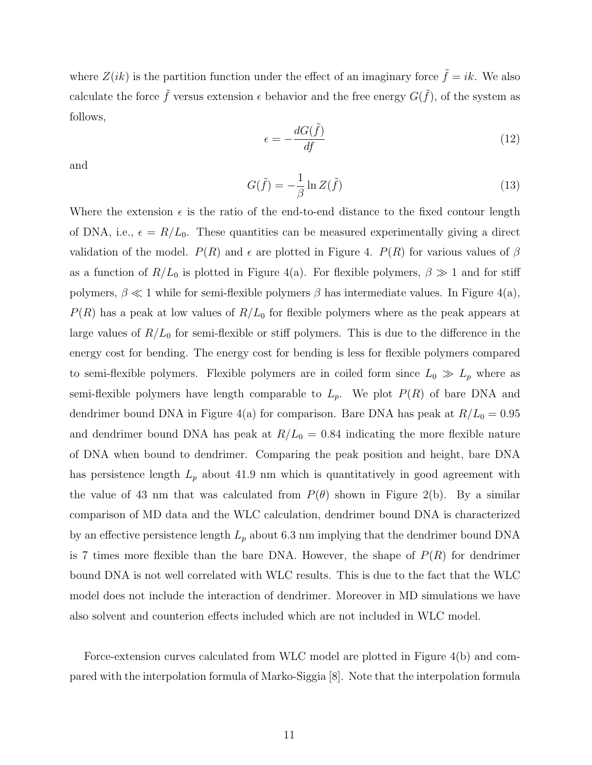where  $Z(ik)$  is the partition function under the effect of an imaginary force  $\tilde{f} = ik$ . We also calculate the force  $\tilde{f}$  versus extension  $\epsilon$  behavior and the free energy  $G(\tilde{f})$ , of the system as follows,

$$
\epsilon = -\frac{dG(\tilde{f})}{df} \tag{12}
$$

and

$$
G(\tilde{f}) = -\frac{1}{\beta} \ln Z(\tilde{f})
$$
\n(13)

Where the extension  $\epsilon$  is the ratio of the end-to-end distance to the fixed contour length of DNA, i.e.,  $\epsilon = R/L_0$ . These quantities can be measured experimentally giving a direct validation of the model.  $P(R)$  and  $\epsilon$  are plotted in Figure 4.  $P(R)$  for various values of  $\beta$ as a function of  $R/L_0$  is plotted in Figure 4(a). For flexible polymers,  $\beta \gg 1$  and for stiff polymers,  $\beta \ll 1$  while for semi-flexible polymers  $\beta$  has intermediate values. In Figure 4(a),  $P(R)$  has a peak at low values of  $R/L_0$  for flexible polymers where as the peak appears at large values of  $R/L_0$  for semi-flexible or stiff polymers. This is due to the difference in the energy cost for bending. The energy cost for bending is less for flexible polymers compared to semi-flexible polymers. Flexible polymers are in coiled form since  $L_0 \gg L_p$  where as semi-flexible polymers have length comparable to  $L_p$ . We plot  $P(R)$  of bare DNA and dendrimer bound DNA in Figure 4(a) for comparison. Bare DNA has peak at  $R/L_0 = 0.95$ and dendrimer bound DNA has peak at  $R/L_0 = 0.84$  indicating the more flexible nature of DNA when bound to dendrimer. Comparing the peak position and height, bare DNA has persistence length  $L_p$  about 41.9 nm which is quantitatively in good agreement with the value of 43 nm that was calculated from  $P(\theta)$  shown in Figure 2(b). By a similar comparison of MD data and the WLC calculation, dendrimer bound DNA is characterized by an effective persistence length  $L_p$  about 6.3 nm implying that the dendrimer bound DNA is 7 times more flexible than the bare DNA. However, the shape of  $P(R)$  for dendrimer bound DNA is not well correlated with WLC results. This is due to the fact that the WLC model does not include the interaction of dendrimer. Moreover in MD simulations we have also solvent and counterion effects included which are not included in WLC model.

Force-extension curves calculated from WLC model are plotted in Figure 4(b) and compared with the interpolation formula of Marko-Siggia [8]. Note that the interpolation formula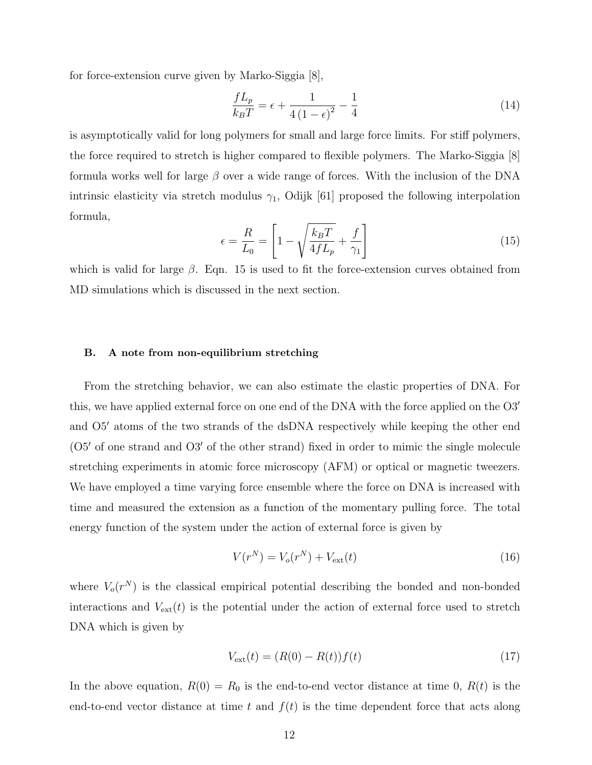for force-extension curve given by Marko-Siggia [8],

$$
\frac{fL_p}{k_B T} = \epsilon + \frac{1}{4\left(1 - \epsilon\right)^2} - \frac{1}{4}
$$
\n(14)

is asymptotically valid for long polymers for small and large force limits. For stiff polymers, the force required to stretch is higher compared to flexible polymers. The Marko-Siggia [8] formula works well for large  $\beta$  over a wide range of forces. With the inclusion of the DNA intrinsic elasticity via stretch modulus  $\gamma_1$ , Odijk [61] proposed the following interpolation formula,

$$
\epsilon = \frac{R}{L_0} = \left[1 - \sqrt{\frac{k_B T}{4f L_p}} + \frac{f}{\gamma_1}\right]
$$
\n(15)

which is valid for large  $\beta$ . Eqn. 15 is used to fit the force-extension curves obtained from MD simulations which is discussed in the next section.

### B. A note from non-equilibrium stretching

From the stretching behavior, we can also estimate the elastic properties of DNA. For this, we have applied external force on one end of the DNA with the force applied on the O3′ and O5′ atoms of the two strands of the dsDNA respectively while keeping the other end (O5′ of one strand and O3′ of the other strand) fixed in order to mimic the single molecule stretching experiments in atomic force microscopy (AFM) or optical or magnetic tweezers. We have employed a time varying force ensemble where the force on DNA is increased with time and measured the extension as a function of the momentary pulling force. The total energy function of the system under the action of external force is given by

$$
V(r^N) = V_o(r^N) + V_{\text{ext}}(t)
$$
\n(16)

where  $V_o(r^N)$  is the classical empirical potential describing the bonded and non-bonded interactions and  $V_{ext}(t)$  is the potential under the action of external force used to stretch DNA which is given by

$$
V_{\text{ext}}(t) = (R(0) - R(t))f(t)
$$
\n(17)

In the above equation,  $R(0) = R_0$  is the end-to-end vector distance at time 0,  $R(t)$  is the end-to-end vector distance at time t and  $f(t)$  is the time dependent force that acts along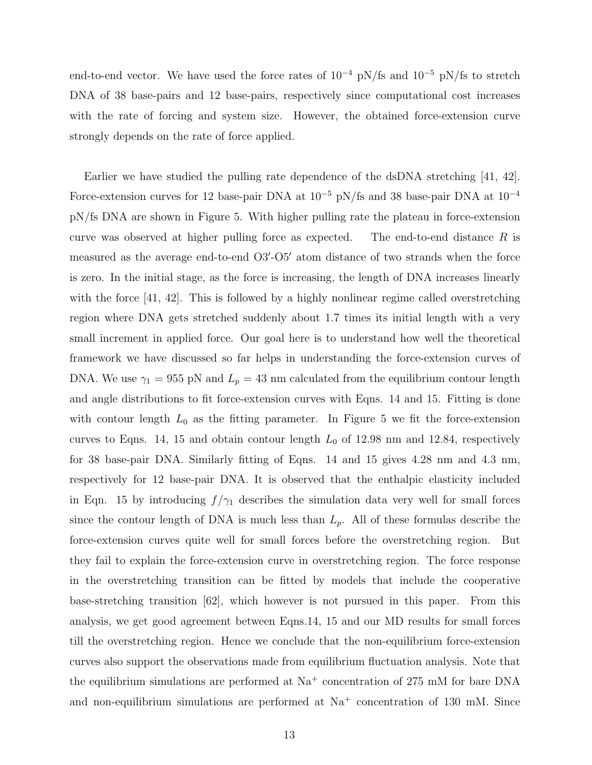end-to-end vector. We have used the force rates of  $10^{-4}$  pN/fs and  $10^{-5}$  pN/fs to stretch DNA of 38 base-pairs and 12 base-pairs, respectively since computational cost increases with the rate of forcing and system size. However, the obtained force-extension curve strongly depends on the rate of force applied.

Earlier we have studied the pulling rate dependence of the dsDNA stretching [41, 42]. Force-extension curves for 12 base-pair DNA at  $10^{-5}$  pN/fs and 38 base-pair DNA at  $10^{-4}$ pN/fs DNA are shown in Figure 5. With higher pulling rate the plateau in force-extension curve was observed at higher pulling force as expected. The end-to-end distance  $R$  is measured as the average end-to-end O3'-O5' atom distance of two strands when the force is zero. In the initial stage, as the force is increasing, the length of DNA increases linearly with the force  $|41, 42|$ . This is followed by a highly nonlinear regime called overstretching region where DNA gets stretched suddenly about 1.7 times its initial length with a very small increment in applied force. Our goal here is to understand how well the theoretical framework we have discussed so far helps in understanding the force-extension curves of DNA. We use  $\gamma_1 = 955$  pN and  $L_p = 43$  nm calculated from the equilibrium contour length and angle distributions to fit force-extension curves with Eqns. 14 and 15. Fitting is done with contour length  $L_0$  as the fitting parameter. In Figure 5 we fit the force-extension curves to Eqns. 14, 15 and obtain contour length  $L_0$  of 12.98 nm and 12.84, respectively for 38 base-pair DNA. Similarly fitting of Eqns. 14 and 15 gives 4.28 nm and 4.3 nm, respectively for 12 base-pair DNA. It is observed that the enthalpic elasticity included in Eqn. 15 by introducing  $f/\gamma_1$  describes the simulation data very well for small forces since the contour length of DNA is much less than  $L_p$ . All of these formulas describe the force-extension curves quite well for small forces before the overstretching region. But they fail to explain the force-extension curve in overstretching region. The force response in the overstretching transition can be fitted by models that include the cooperative base-stretching transition [62], which however is not pursued in this paper. From this analysis, we get good agreement between Eqns.14, 15 and our MD results for small forces till the overstretching region. Hence we conclude that the non-equilibrium force-extension curves also support the observations made from equilibrium fluctuation analysis. Note that the equilibrium simulations are performed at  $Na<sup>+</sup>$  concentration of 275 mM for bare DNA and non-equilibrium simulations are performed at  $Na<sup>+</sup>$  concentration of 130 mM. Since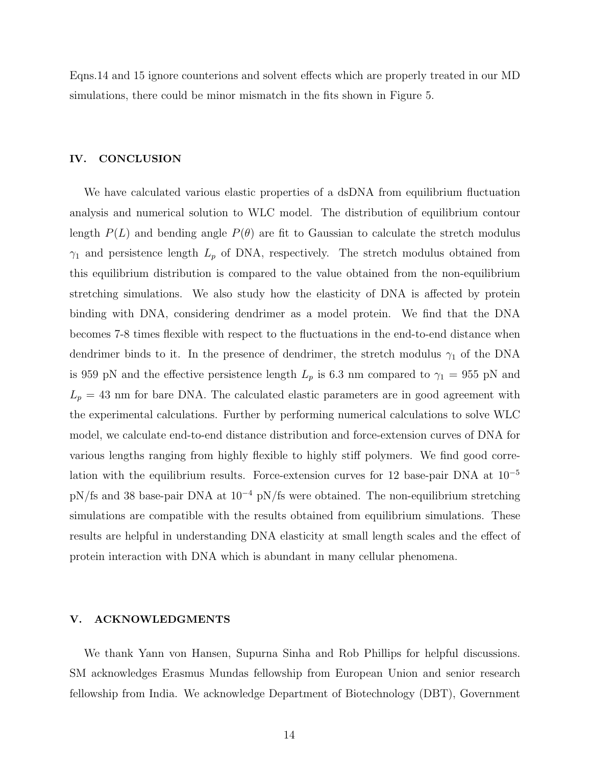Eqns.14 and 15 ignore counterions and solvent effects which are properly treated in our MD simulations, there could be minor mismatch in the fits shown in Figure 5.

# IV. CONCLUSION

We have calculated various elastic properties of a dsDNA from equilibrium fluctuation analysis and numerical solution to WLC model. The distribution of equilibrium contour length  $P(L)$  and bending angle  $P(\theta)$  are fit to Gaussian to calculate the stretch modulus  $\gamma_1$  and persistence length  $L_p$  of DNA, respectively. The stretch modulus obtained from this equilibrium distribution is compared to the value obtained from the non-equilibrium stretching simulations. We also study how the elasticity of DNA is affected by protein binding with DNA, considering dendrimer as a model protein. We find that the DNA becomes 7-8 times flexible with respect to the fluctuations in the end-to-end distance when dendrimer binds to it. In the presence of dendrimer, the stretch modulus  $\gamma_1$  of the DNA is 959 pN and the effective persistence length  $L_p$  is 6.3 nm compared to  $\gamma_1 = 955$  pN and  $L_p = 43$  nm for bare DNA. The calculated elastic parameters are in good agreement with the experimental calculations. Further by performing numerical calculations to solve WLC model, we calculate end-to-end distance distribution and force-extension curves of DNA for various lengths ranging from highly flexible to highly stiff polymers. We find good correlation with the equilibrium results. Force-extension curves for 12 base-pair DNA at  $10^{-5}$ pN/fs and 38 base-pair DNA at 10<sup>−</sup><sup>4</sup> pN/fs were obtained. The non-equilibrium stretching simulations are compatible with the results obtained from equilibrium simulations. These results are helpful in understanding DNA elasticity at small length scales and the effect of protein interaction with DNA which is abundant in many cellular phenomena.

### V. ACKNOWLEDGMENTS

We thank Yann von Hansen, Supurna Sinha and Rob Phillips for helpful discussions. SM acknowledges Erasmus Mundas fellowship from European Union and senior research fellowship from India. We acknowledge Department of Biotechnology (DBT), Government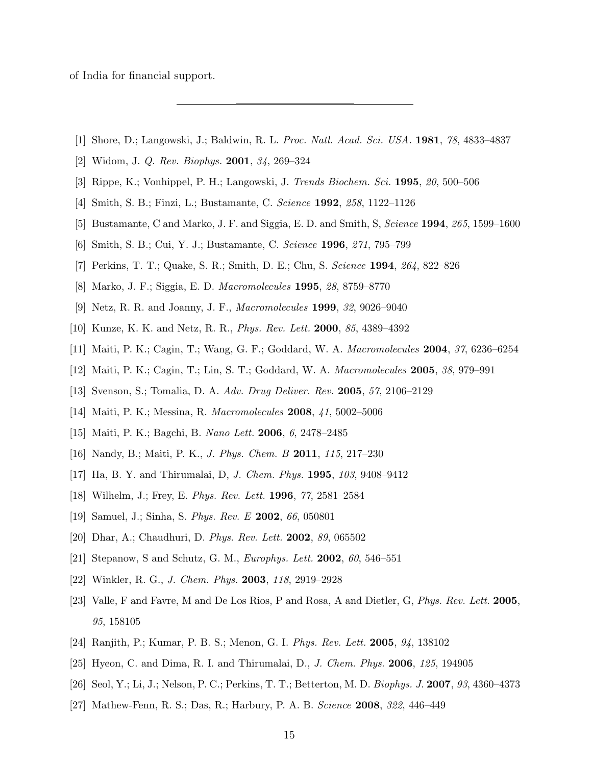of India for financial support.

- [1] Shore, D.; Langowski, J.; Baldwin, R. L. Proc. Natl. Acad. Sci. USA. 1981, 78, 4833–4837
- [2] Widom, J. Q. Rev. Biophys. 2001, 34, 269–324
- [3] Rippe, K.; Vonhippel, P. H.; Langowski, J. Trends Biochem. Sci. 1995, 20, 500–506
- [4] Smith, S. B.; Finzi, L.; Bustamante, C. Science 1992, 258, 1122–1126
- [5] Bustamante, C and Marko, J. F. and Siggia, E. D. and Smith, S. Science 1994, 265, 1599–1600
- [6] Smith, S. B.; Cui, Y. J.; Bustamante, C. Science 1996, 271, 795–799
- [7] Perkins, T. T.; Quake, S. R.; Smith, D. E.; Chu, S. Science 1994, 264, 822–826
- [8] Marko, J. F.; Siggia, E. D. Macromolecules 1995, 28, 8759–8770
- [9] Netz, R. R. and Joanny, J. F., Macromolecules 1999, 32, 9026–9040
- [10] Kunze, K. K. and Netz, R. R., Phys. Rev. Lett. 2000, 85, 4389–4392
- [11] Maiti, P. K.; Cagin, T.; Wang, G. F.; Goddard, W. A. Macromolecules 2004, 37, 6236–6254
- [12] Maiti, P. K.; Cagin, T.; Lin, S. T.; Goddard, W. A. Macromolecules 2005, 38, 979–991
- [13] Svenson, S.; Tomalia, D. A. Adv. Drug Deliver. Rev. 2005, 57, 2106–2129
- [14] Maiti, P. K.; Messina, R. Macromolecules 2008, 41, 5002–5006
- [15] Maiti, P. K.; Bagchi, B. Nano Lett. 2006, 6, 2478–2485
- [16] Nandy, B.; Maiti, P. K., J. Phys. Chem. B 2011, 115, 217–230
- [17] Ha, B. Y. and Thirumalai, D, J. Chem. Phys. 1995, 103, 9408–9412
- [18] Wilhelm, J.; Frey, E. Phys. Rev. Lett. 1996, 77, 2581–2584
- [19] Samuel, J.; Sinha, S. Phys. Rev. E 2002, 66, 050801
- [20] Dhar, A.; Chaudhuri, D. Phys. Rev. Lett. 2002, 89, 065502
- [21] Stepanow, S and Schutz, G. M., Europhys. Lett. 2002, 60, 546–551
- [22] Winkler, R. G., J. Chem. Phys. 2003, 118, 2919–2928
- [23] Valle, F and Favre, M and De Los Rios, P and Rosa, A and Dietler, G, Phys. Rev. Lett. 2005, 95, 158105
- [24] Ranjith, P.; Kumar, P. B. S.; Menon, G. I. Phys. Rev. Lett. 2005, 94, 138102
- [25] Hyeon, C. and Dima, R. I. and Thirumalai, D., J. Chem. Phys. 2006, 125, 194905
- [26] Seol, Y.; Li, J.; Nelson, P. C.; Perkins, T. T.; Betterton, M. D. Biophys. J. 2007, 93, 4360–4373
- [27] Mathew-Fenn, R. S.; Das, R.; Harbury, P. A. B. Science 2008, 322, 446–449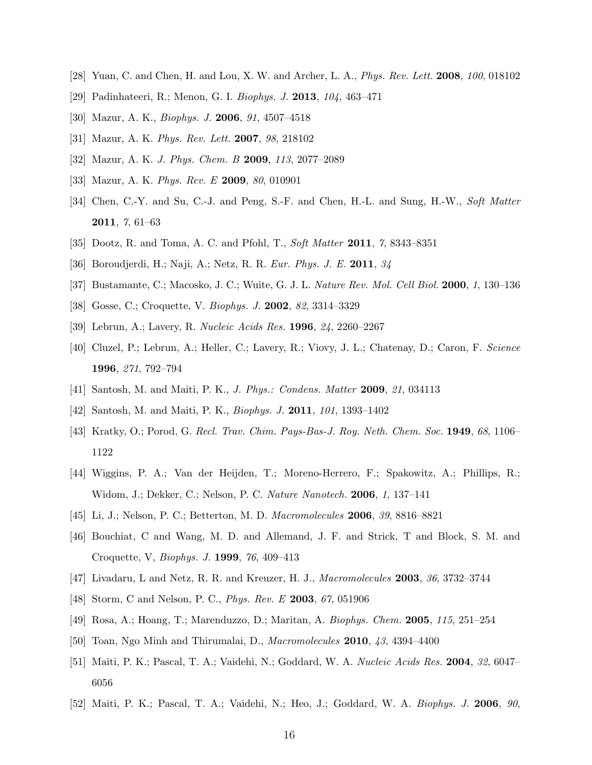- [28] Yuan, C. and Chen, H. and Lou, X. W. and Archer, L. A., Phys. Rev. Lett. 2008, 100, 018102
- [29] Padinhateeri, R.; Menon, G. I. Biophys. J. 2013, 104, 463–471
- [30] Mazur, A. K., Biophys. J. 2006, 91, 4507–4518
- [31] Mazur, A. K. Phys. Rev. Lett. 2007, 98, 218102
- [32] Mazur, A. K. J. Phys. Chem. B 2009, 113, 2077–2089
- [33] Mazur, A. K. *Phys. Rev. E* 2009, 80, 010901
- [34] Chen, C.-Y. and Su, C.-J. and Peng, S.-F. and Chen, H.-L. and Sung, H.-W., Soft Matter 2011, 7, 61–63
- [35] Dootz, R. and Toma, A. C. and Pfohl, T., Soft Matter 2011, 7, 8343–8351
- [36] Boroudjerdi, H.; Naji, A.; Netz, R. R. Eur. Phys. J. E. 2011, 34
- [37] Bustamante, C.; Macosko, J. C.; Wuite, G. J. L. Nature Rev. Mol. Cell Biol. 2000, 1, 130–136
- [38] Gosse, C.; Croquette, V. Biophys. J. 2002, 82, 3314–3329
- [39] Lebrun, A.; Lavery, R. Nucleic Acids Res. 1996, 24, 2260–2267
- [40] Cluzel, P.; Lebrun, A.; Heller, C.; Lavery, R.; Viovy, J. L.; Chatenay, D.; Caron, F. Science 1996, 271, 792–794
- [41] Santosh, M. and Maiti, P. K., J. Phys.: Condens. Matter 2009, 21, 034113
- [42] Santosh, M. and Maiti, P. K., Biophys. J. 2011, 101, 1393–1402
- [43] Kratky, O.; Porod, G. Recl. Trav. Chim. Pays-Bas-J. Roy. Neth. Chem. Soc. 1949, 68, 1106– 1122
- [44] Wiggins, P. A.; Van der Heijden, T.; Moreno-Herrero, F.; Spakowitz, A.; Phillips, R.; Widom, J.; Dekker, C.; Nelson, P. C. Nature Nanotech. 2006, 1, 137–141
- [45] Li, J.; Nelson, P. C.; Betterton, M. D. Macromolecules 2006, 39, 8816–8821
- [46] Bouchiat, C and Wang, M. D. and Allemand, J. F. and Strick, T and Block, S. M. and Croquette, V, Biophys. J. 1999, 76, 409–413
- [47] Livadaru, L and Netz, R. R. and Kreuzer, H. J., Macromolecules 2003, 36, 3732–3744
- [48] Storm, C and Nelson, P. C., Phys. Rev. E 2003, 67, 051906
- [49] Rosa, A.; Hoang, T.; Marenduzzo, D.; Maritan, A. Biophys. Chem. 2005, 115, 251–254
- [50] Toan, Ngo Minh and Thirumalai, D., Macromolecules 2010, 43, 4394–4400
- [51] Maiti, P. K.; Pascal, T. A.; Vaidehi, N.; Goddard, W. A. Nucleic Acids Res. 2004, 32, 6047– 6056
- [52] Maiti, P. K.; Pascal, T. A.; Vaidehi, N.; Heo, J.; Goddard, W. A. Biophys. J. 2006, 90,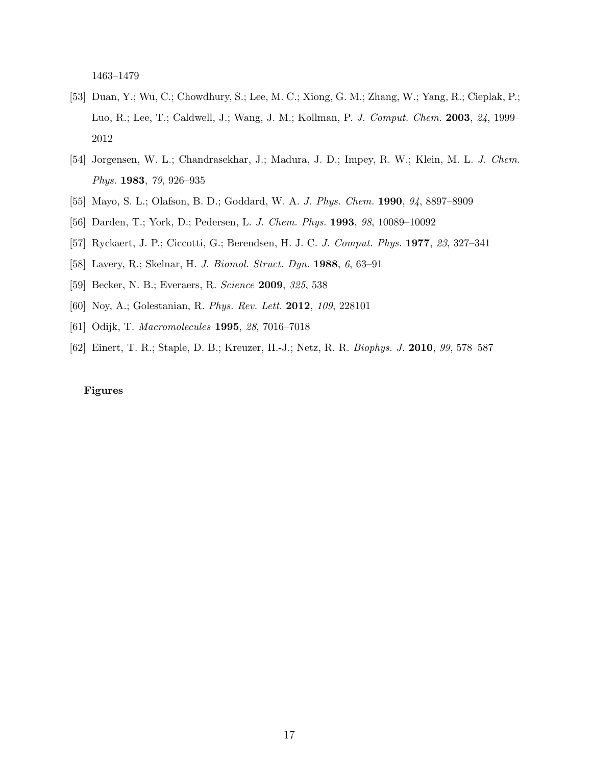1463–1479

- [53] Duan, Y.; Wu, C.; Chowdhury, S.; Lee, M. C.; Xiong, G. M.; Zhang, W.; Yang, R.; Cieplak, P.; Luo, R.; Lee, T.; Caldwell, J.; Wang, J. M.; Kollman, P. J. Comput. Chem. 2003, 24, 1999– 2012
- [54] Jorgensen, W. L.; Chandrasekhar, J.; Madura, J. D.; Impey, R. W.; Klein, M. L. J. Chem. Phys. 1983, 79, 926–935
- [55] Mayo, S. L.; Olafson, B. D.; Goddard, W. A. J. Phys. Chem. 1990, 94, 8897–8909
- [56] Darden, T.; York, D.; Pedersen, L. J. Chem. Phys. 1993, 98, 10089–10092
- [57] Ryckaert, J. P.; Ciccotti, G.; Berendsen, H. J. C. J. Comput. Phys. 1977, 23, 327–341
- [58] Lavery, R.; Skelnar, H. J. Biomol. Struct. Dyn. 1988, 6, 63–91
- [59] Becker, N. B.; Everaers, R. Science 2009, 325, 538
- [60] Noy, A.; Golestanian, R. Phys. Rev. Lett. 2012, 109, 228101
- [61] Odijk, T. Macromolecules 1995, 28, 7016–7018
- [62] Einert, T. R.; Staple, D. B.; Kreuzer, H.-J.; Netz, R. R. Biophys. J. 2010, 99, 578–587

### Figures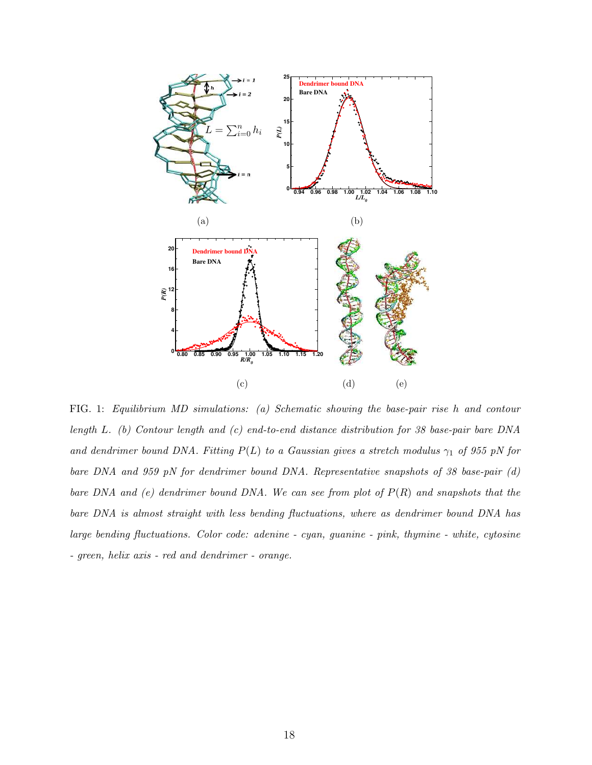

FIG. 1: Equilibrium MD simulations: (a) Schematic showing the base-pair rise h and contour length L. (b) Contour length and (c) end-to-end distance distribution for 38 base-pair bare DNA and dendrimer bound DNA. Fitting  $P(L)$  to a Gaussian gives a stretch modulus  $\gamma_1$  of 955 pN for bare DNA and 959 pN for dendrimer bound DNA. Representative snapshots of 38 base-pair (d) bare DNA and  $(e)$  dendrimer bound DNA. We can see from plot of  $P(R)$  and snapshots that the bare DNA is almost straight with less bending fluctuations, where as dendrimer bound DNA has large bending fluctuations. Color code: adenine - cyan, guanine - pink, thymine - white, cytosine - green, helix axis - red and dendrimer - orange.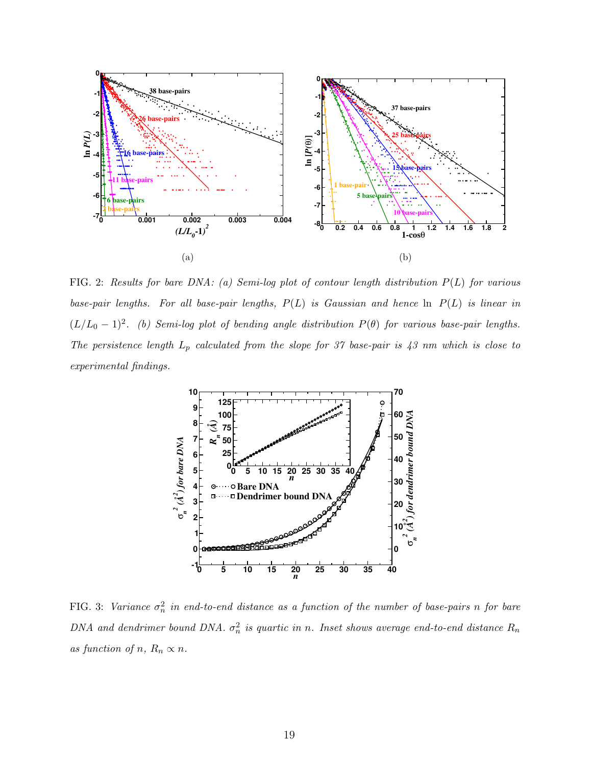

FIG. 2: Results for bare DNA: (a) Semi-log plot of contour length distribution  $P(L)$  for various base-pair lengths. For all base-pair lengths,  $P(L)$  is Gaussian and hence  $\ln P(L)$  is linear in  $(L/L_0 - 1)^2$ . (b) Semi-log plot of bending angle distribution  $P(\theta)$  for various base-pair lengths. The persistence length  $L_p$  calculated from the slope for 37 base-pair is 43 nm which is close to experimental findings.



FIG. 3: Variance  $\sigma_n^2$  in end-to-end distance as a function of the number of base-pairs n for bare DNA and dendrimer bound DNA.  $\sigma_n^2$  is quartic in n. Inset shows average end-to-end distance  $R_n$ as function of n,  $R_n \propto n$ .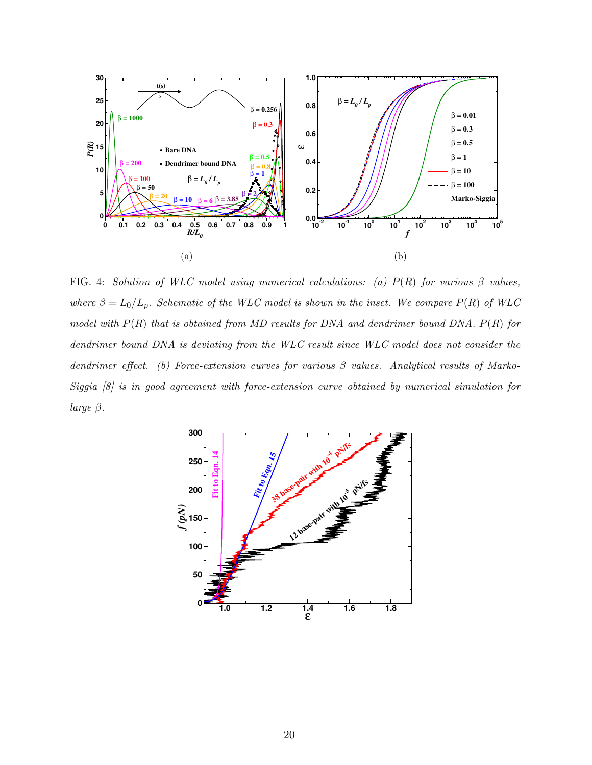

FIG. 4: Solution of WLC model using numerical calculations: (a)  $P(R)$  for various  $\beta$  values, where  $\beta = L_0/L_p$ . Schematic of the WLC model is shown in the inset. We compare  $P(R)$  of WLC model with  $P(R)$  that is obtained from MD results for DNA and dendrimer bound DNA.  $P(R)$  for dendrimer bound DNA is deviating from the WLC result since WLC model does not consider the dendrimer effect. (b) Force-extension curves for various  $\beta$  values. Analytical results of Marko-Siggia [8] is in good agreement with force-extension curve obtained by numerical simulation for large  $\beta$ .